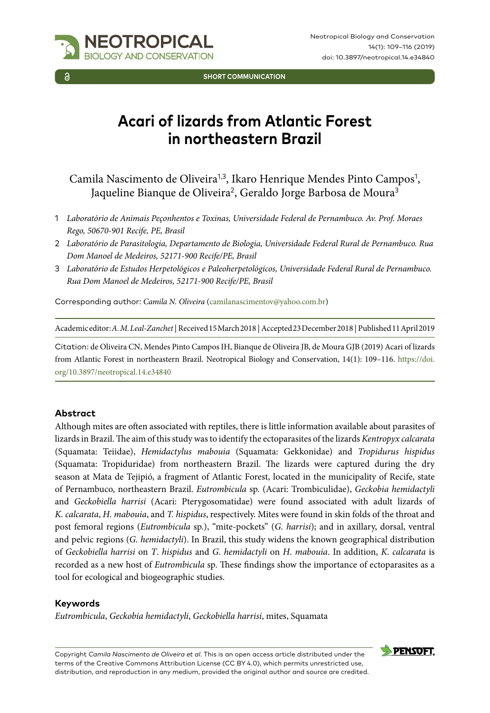

**SHORT COMMUNICATION**

# **Acari of lizards from Atlantic Forest in northeastern Brazil**

Camila Nascimento de Oliveira<sup>1,3</sup>, Ikaro Henrique Mendes Pinto Campos<sup>1</sup>, Jaqueline Bianque de Oliveira<sup>2</sup>, Geraldo Jorge Barbosa de Moura<sup>3</sup>

- 1 *Laboratório de Animais Peçonhentos e Toxinas, Universidade Federal de Pernambuco. Av. Prof. Moraes Rego, 50670-901 Recife, PE, Brasil*
- 2 *Laboratório de Parasitologia, Departamento de Biologia, Universidade Federal Rural de Pernambuco. Rua Dom Manoel de Medeiros, 52171-900 Recife/PE, Brasil*
- 3 *Laboratório de Estudos Herpetológicos e Paleoherpetológicos, Universidade Federal Rural de Pernambuco. Rua Dom Manoel de Medeiros, 52171-900 Recife/PE, Brasil*

Corresponding author: *Camila N. Oliveira* [\(camilanascimentov@yahoo.com.br\)](mailto:camilanascimentov@yahoo.com.br)

Academic editor: *A. M. Leal-Zanchet* | Received 15 March 2018 | Accepted 23 December 2018 | Published 11 April 2019

Citation: de Oliveira CN, Mendes Pinto Campos IH, Bianque de Oliveira JB, de Moura GJB (2019) Acari of lizards from Atlantic Forest in northeastern Brazil. Neotropical Biology and Conservation, 14(1): 109–116. [https://doi.](https://doi.org/10.3897/neotropical.14.e34840) [org/10.3897/neotropical.14.e34840](https://doi.org/10.3897/neotropical.14.e34840)

#### **Abstract**

Although mites are often associated with reptiles, there is little information available about parasites of lizards in Brazil. The aim of this study was to identify the ectoparasites of the lizards *Kentropyx calcarata* (Squamata: Teiidae), *Hemidactylus mabouia* (Squamata: Gekkonidae) and *Tropidurus hispidus*  (Squamata: Tropiduridae) from northeastern Brazil. The lizards were captured during the dry season at Mata de Tejipió, a fragment of Atlantic Forest, located in the municipality of Recife, state of Pernambuco, northeastern Brazil. *Eutrombicula* sp. (Acari: Trombiculidae), *Geckobia hemidactyli*  and *Geckobiella harrisi* (Acari: Pterygosomatidae) were found associated with adult lizards of *K. calcarata*, *H. mabouia*, and *T. hispidus*, respectively. Mites were found in skin folds of the throat and post femoral regions (*Eutrombicula* sp.), "mite-pockets" (*G. harrisi*); and in axillary, dorsal, ventral and pelvic regions (*G. hemidactyli*). In Brazil, this study widens the known geographical distribution of *Geckobiella harrisi* on *T*. *hispidus* and *G*. *hemidactyli* on *H*. *mabouia*. In addition, *K*. *calcarata* is recorded as a new host of *Eutrombicula* sp. These findings show the importance of ectoparasites as a tool for ecological and biogeographic studies.

#### **Keywords**

*Eutrombicula*, *Geckobia hemidactyli*, *Geckobiella harrisi*, mites, Squamata

Copyright *Camila Nascimento de Oliveira et al*. This is an open access article distributed under the terms of the [Creative Commons Attribution License \(CC BY 4.0\)](http://creativecommons.org/licenses/by/4.0/), which permits unrestricted use, distribution, and reproduction in any medium, provided the original author and source are credited.

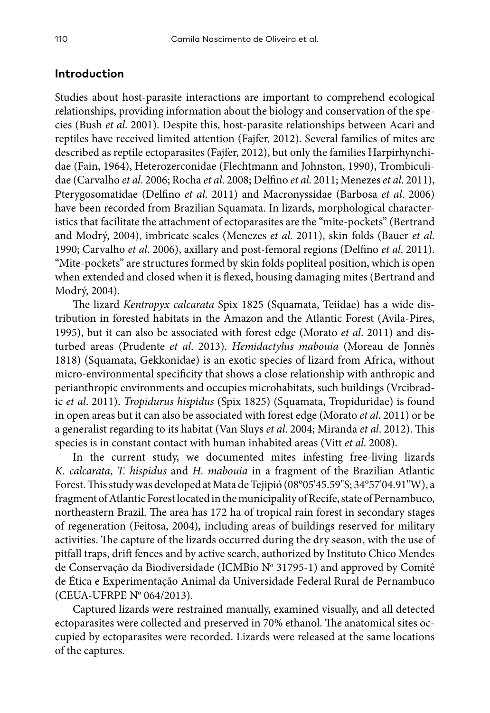## **Introduction**

Studies about host-parasite interactions are important to comprehend ecological relationships, providing information about the biology and conservation of the species (Bush *et al*. 2001). Despite this, host-parasite relationships between Acari and reptiles have received limited attention (Fajfer, 2012). Several families of mites are described as reptile ectoparasites (Fajfer, 2012), but only the families Harpirhynchidae (Fain, 1964), Heterozerconidae (Flechtmann and Johnston, 1990), Trombiculidae (Carvalho *et al*. 2006; Rocha *et al*. 2008; Delfino *et al*. 2011; Menezes *et al*. 2011), Pterygosomatidae (Delfino *et al*. 2011) and Macronyssidae (Barbosa *et al*. 2006) have been recorded from Brazilian Squamata. In lizards, morphological characteristics that facilitate the attachment of ectoparasites are the "mite-pockets" (Bertrand and Modrý, 2004), imbricate scales (Menezes *et al*. 2011), skin folds (Bauer *et al*. 1990; Carvalho *et al*. 2006), axillary and post-femoral regions (Delfino *et al*. 2011). "Mite-pockets" are structures formed by skin folds popliteal position, which is open when extended and closed when it is flexed, housing damaging mites (Bertrand and Modrý, 2004).

The lizard *Kentropyx calcarata* Spix 1825 (Squamata, Teiidae) has a wide distribution in forested habitats in the Amazon and the Atlantic Forest (Avila-Pires, 1995), but it can also be associated with forest edge (Morato *et al*. 2011) and disturbed areas (Prudente *et al*. 2013). *Hemidactylus mabouia* (Moreau de Jonnès 1818) (Squamata, Gekkonidae) is an exotic species of lizard from Africa, without micro-environmental specificity that shows a close relationship with anthropic and perianthropic environments and occupies microhabitats, such buildings (Vrcibradic *et al*. 2011). *Tropidurus hispidus* (Spix 1825) (Squamata, Tropiduridae) is found in open areas but it can also be associated with forest edge (Morato *et al*. 2011) or be a generalist regarding to its habitat (Van Sluys *et al*. 2004; Miranda *et al*. 2012). This species is in constant contact with human inhabited areas (Vitt *et al*. 2008).

In the current study, we documented mites infesting free-living lizards *K. calcarata*, *T. hispidus* and *H. mabouia* in a fragment of the Brazilian Atlantic Forest. This study was developed at Mata de Tejipió (08°05'45.59"S; 34°57'04.91"W), a fragment of Atlantic Forest located in the municipality of Recife, state of Pernambuco, northeastern Brazil. The area has 172 ha of tropical rain forest in secondary stages of regeneration (Feitosa, 2004), including areas of buildings reserved for military activities. The capture of the lizards occurred during the dry season, with the use of pitfall traps, drift fences and by active search, authorized by Instituto Chico Mendes de Conservação da Biodiversidade (ICMBio Nº 31795-1) and approved by Comitê de Ética e Experimentação Animal da Universidade Federal Rural de Pernambuco (CEUA-UFRPE Nº 064/2013).

Captured lizards were restrained manually, examined visually, and all detected ectoparasites were collected and preserved in 70% ethanol. The anatomical sites occupied by ectoparasites were recorded. Lizards were released at the same locations of the captures.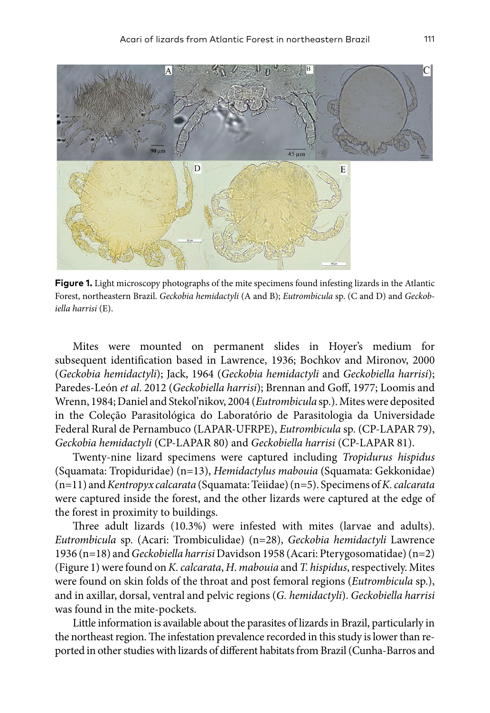

**Figure 1.** Light microscopy photographs of the mite specimens found infesting lizards in the Atlantic Forest, northeastern Brazil. *Geckobia hemidactyli* (A and B); *Eutrombicula* sp. (C and D) and *Geckobiella harrisi* (E).

Mites were mounted on permanent slides in Hoyer's medium for subsequent identification based in Lawrence, 1936; Bochkov and Mironov, 2000 (*Geckobia hemidactyli*); Jack, 1964 (*Geckobia hemidactyli* and *Geckobiella harrisi*); Paredes-León *et al*. 2012 (*Geckobiella harrisi*); Brennan and Goff, 1977; Loomis and Wrenn, 1984; Daniel and Stekol'nikov, 2004 (*Eutrombicula* sp.). Mites were deposited in the Coleção Parasitológica do Laboratório de Parasitologia da Universidade Federal Rural de Pernambuco (LAPAR-UFRPE), *Eutrombicula* sp. (CP-LAPAR 79), *Geckobia hemidactyli* (CP-LAPAR 80) and *Geckobiella harrisi* (CP-LAPAR 81).

Twenty-nine lizard specimens were captured including *Tropidurus hispidus* (Squamata: Tropiduridae) (n=13), *Hemidactylus mabouia* (Squamata: Gekkonidae) (n=11) and *Kentropyx calcarata* (Squamata: Teiidae) (n=5). Specimens of *K. calcarata* were captured inside the forest, and the other lizards were captured at the edge of the forest in proximity to buildings.

Three adult lizards (10.3%) were infested with mites (larvae and adults). *Eutrombicula* sp. (Acari: Trombiculidae) (n=28), *Geckobia hemidactyli* Lawrence 1936 (n=18) and *Geckobiella harrisi* Davidson 1958 (Acari: Pterygosomatidae) (n=2) (Figure 1) were found on *K. calcarata*, *H. mabouia* and *T. hispidus*, respectively. Mites were found on skin folds of the throat and post femoral regions (*Eutrombicula* sp.), and in axillar, dorsal, ventral and pelvic regions (*G. hemidactyli*). *Geckobiella harrisi* was found in the mite-pockets.

Little information is available about the parasites of lizards in Brazil, particularly in the northeast region. The infestation prevalence recorded in this study is lower than reported in other studies with lizards of different habitats from Brazil (Cunha-Barros and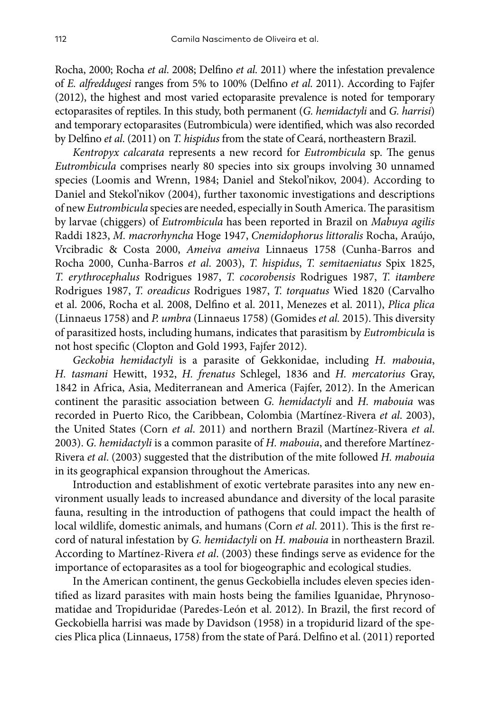Rocha, 2000; Rocha *et al*. 2008; Delfino *et al*. 2011) where the infestation prevalence of *E. alfreddugesi* ranges from 5% to 100% (Delfino *et al*. 2011). According to Fajfer (2012), the highest and most varied ectoparasite prevalence is noted for temporary ectoparasites of reptiles. In this study, both permanent (*G. hemidactyli* and *G. harrisi*) and temporary ectoparasites (Eutrombicula) were identified, which was also recorded by Delfino *et al*. (2011) on *T. hispidus* from the state of Ceará, northeastern Brazil.

*Kentropyx calcarata* represents a new record for *Eutrombicula* sp. The genus *Eutrombicula* comprises nearly 80 species into six groups involving 30 unnamed species (Loomis and Wrenn, 1984; Daniel and Stekol'nikov, 2004). According to Daniel and Stekol'nikov (2004), further taxonomic investigations and descriptions of new *Eutrombicula* species are needed, especially in South America. The parasitism by larvae (chiggers) of *Eutrombicula* has been reported in Brazil on *Mabuya agilis*  Raddi 1823, *M. macrorhyncha* Hoge 1947, *Cnemidophorus littoralis* Rocha, Araújo, Vrcibradic & Costa 2000, *Ameiva ameiva* Linnaeus 1758 (Cunha-Barros and Rocha 2000, Cunha-Barros *et al*. 2003), *T. hispidus*, *T. semitaeniatus* Spix 1825, *T. erythrocephalus* Rodrigues 1987, *T. cocorobensis* Rodrigues 1987, *T. itambere*  Rodrigues 1987, *T. oreadicus* Rodrigues 1987, *T. torquatus* Wied 1820 (Carvalho et al. 2006, Rocha et al. 2008, Delfino et al. 2011, Menezes et al. 2011), *Plica plica* (Linnaeus 1758) and *P. umbra* (Linnaeus 1758) (Gomides *et al.* 2015). This diversity of parasitized hosts, including humans, indicates that parasitism by *Eutrombicula* is not host specific (Clopton and Gold 1993, Fajfer 2012).

*Geckobia hemidactyli* is a parasite of Gekkonidae, including *H. mabouia*, *H. tasmani* Hewitt, 1932, *H. frenatus* Schlegel, 1836 and *H. mercatorius* Gray, 1842 in Africa, Asia, Mediterranean and America (Fajfer, 2012). In the American continent the parasitic association between *G. hemidactyli* and *H. mabouia* was recorded in Puerto Rico, the Caribbean, Colombia (Martínez-Rivera *et al*. 2003), the United States (Corn *et al*. 2011) and northern Brazil (Martínez-Rivera *et al*. 2003). *G. hemidactyli* is a common parasite of *H. mabouia*, and therefore Martínez-Rivera *et al*. (2003) suggested that the distribution of the mite followed *H. mabouia*  in its geographical expansion throughout the Americas.

Introduction and establishment of exotic vertebrate parasites into any new environment usually leads to increased abundance and diversity of the local parasite fauna, resulting in the introduction of pathogens that could impact the health of local wildlife, domestic animals, and humans (Corn *et al*. 2011). This is the first record of natural infestation by *G. hemidactyli* on *H. mabouia* in northeastern Brazil. According to Martínez-Rivera *et al*. (2003) these findings serve as evidence for the importance of ectoparasites as a tool for biogeographic and ecological studies.

In the American continent, the genus Geckobiella includes eleven species identified as lizard parasites with main hosts being the families Iguanidae, Phrynosomatidae and Tropiduridae (Paredes-León et al. 2012). In Brazil, the first record of Geckobiella harrisi was made by Davidson (1958) in a tropidurid lizard of the species Plica plica (Linnaeus, 1758) from the state of Pará. Delfino et al. (2011) reported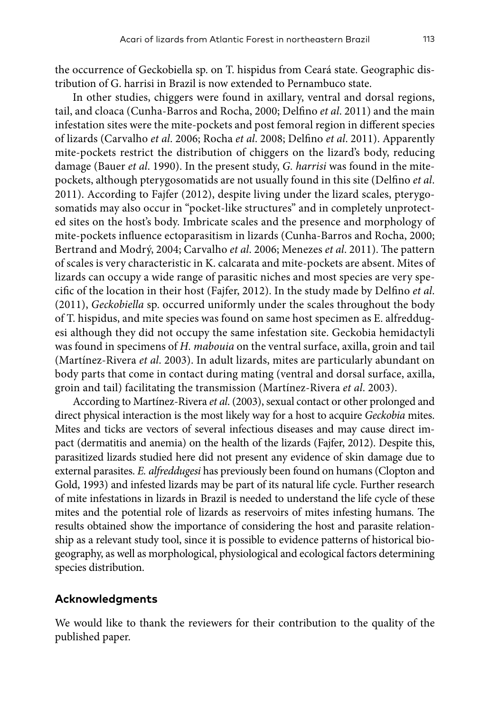the occurrence of Geckobiella sp. on T. hispidus from Ceará state. Geographic distribution of G. harrisi in Brazil is now extended to Pernambuco state.

In other studies, chiggers were found in axillary, ventral and dorsal regions, tail, and cloaca (Cunha-Barros and Rocha, 2000; Delfino *et al*. 2011) and the main infestation sites were the mite-pockets and post femoral region in different species of lizards (Carvalho *et al*. 2006; Rocha *et al*. 2008; Delfino *et al*. 2011). Apparently mite-pockets restrict the distribution of chiggers on the lizard's body, reducing damage (Bauer *et al*. 1990). In the present study, *G. harrisi* was found in the mitepockets, although pterygosomatids are not usually found in this site (Delfino *et al*. 2011). According to Fajfer (2012), despite living under the lizard scales, pterygosomatids may also occur in "pocket-like structures" and in completely unprotected sites on the host's body. Imbricate scales and the presence and morphology of mite-pockets influence ectoparasitism in lizards (Cunha-Barros and Rocha, 2000; Bertrand and Modrý, 2004; Carvalho *et al*. 2006; Menezes *et al*. 2011). The pattern of scales is very characteristic in K. calcarata and mite-pockets are absent. Mites of lizards can occupy a wide range of parasitic niches and most species are very specific of the location in their host (Fajfer, 2012). In the study made by Delfino *et al*. (2011), *Geckobiella* sp. occurred uniformly under the scales throughout the body of T. hispidus, and mite species was found on same host specimen as E. alfreddugesi although they did not occupy the same infestation site. Geckobia hemidactyli was found in specimens of *H. mabouia* on the ventral surface, axilla, groin and tail (Martínez-Rivera *et al*. 2003). In adult lizards, mites are particularly abundant on body parts that come in contact during mating (ventral and dorsal surface, axilla, groin and tail) facilitating the transmission (Martínez-Rivera *et al*. 2003).

According to Martínez-Rivera *et al*. (2003), sexual contact or other prolonged and direct physical interaction is the most likely way for a host to acquire *Geckobia* mites. Mites and ticks are vectors of several infectious diseases and may cause direct impact (dermatitis and anemia) on the health of the lizards (Fajfer, 2012). Despite this, parasitized lizards studied here did not present any evidence of skin damage due to external parasites. *E. alfreddugesi* has previously been found on humans (Clopton and Gold, 1993) and infested lizards may be part of its natural life cycle. Further research of mite infestations in lizards in Brazil is needed to understand the life cycle of these mites and the potential role of lizards as reservoirs of mites infesting humans. The results obtained show the importance of considering the host and parasite relationship as a relevant study tool, since it is possible to evidence patterns of historical biogeography, as well as morphological, physiological and ecological factors determining species distribution.

#### **Acknowledgments**

We would like to thank the reviewers for their contribution to the quality of the published paper.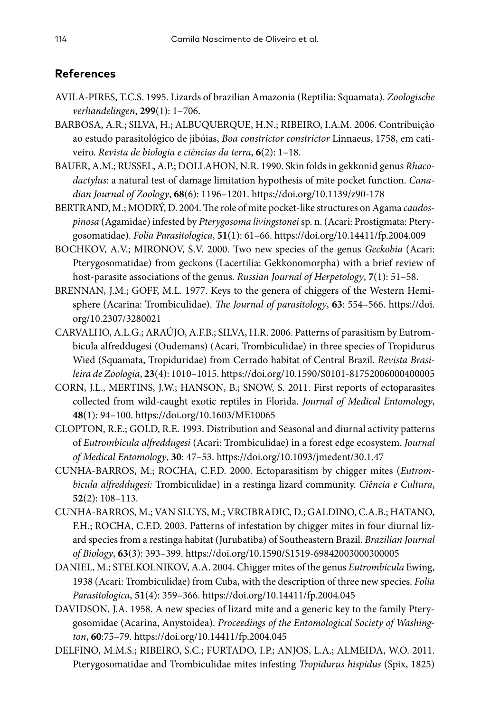# **References**

- AVILA-PIRES, T.C.S. 1995. Lizards of brazilian Amazonia (Reptilia: Squamata). *Zoologische verhandelingen*, **299**(1): 1–706.
- BARBOSA, A.R.; SILVA, H.; ALBUQUERQUE, H.N.; RIBEIRO, I.A.M. 2006. Contribuição ao estudo parasitológico de jibóias, *Boa constrictor constrictor* Linnaeus, 1758, em cativeiro. *Revista de biologia e ciências da terra*, **6**(2): 1–18.
- BAUER, A.M.; RUSSEL, A.P.; DOLLAHON, N.R. 1990. Skin folds in gekkonid genus *Rhacodactylus*: a natural test of damage limitation hypothesis of mite pocket function. *Canadian Journal of Zoology*, **68**(6): 1196–1201.<https://doi.org/10.1139/z90-178>
- BERTRAND, M.; MODRÝ, D. 2004. The role of mite pocket-like structures on Agama *caudospinosa* (Agamidae) infested by *Pterygosoma livingstonei* sp. n. (Acari: Prostigmata: Pterygosomatidae). *Folia Parasitologica*, **51**(1): 61–66.<https://doi.org/10.14411/fp.2004.009>
- BOCHKOV, A.V.; MIRONOV, S.V. 2000. Two new species of the genus *Geckobia* (Acari: Pterygosomatidae) from geckons (Lacertilia: Gekkonomorpha) with a brief review of host-parasite associations of the genus. *Russian Journal of Herpetology*, **7**(1): 51–58.
- BRENNAN, J.M.; GOFF, M.L. 1977. Keys to the genera of chiggers of the Western Hemisphere (Acarina: Trombiculidae). *The Journal of parasitology*, **63**: 554–566. [https://doi.](https://doi.org/10.2307/3280021) [org/10.2307/3280021](https://doi.org/10.2307/3280021)
- CARVALHO, A.L.G.; ARAÚJO, A.F.B.; SILVA, H.R. 2006. Patterns of parasitism by Eutrombicula alfreddugesi (Oudemans) (Acari, Trombiculidae) in three species of Tropidurus Wied (Squamata, Tropiduridae) from Cerrado habitat of Central Brazil. *Revista Brasileira de Zoologia*, **23**(4): 1010–1015.<https://doi.org/10.1590/S0101-81752006000400005>
- CORN, J.L., MERTINS, J.W.; HANSON, B.; SNOW, S. 2011. First reports of ectoparasites collected from wild-caught exotic reptiles in Florida. *Journal of Medical Entomology*, **48**(1): 94–100.<https://doi.org/10.1603/ME10065>
- CLOPTON, R.E.; GOLD, R.E. 1993. Distribution and Seasonal and diurnal activity patterns of *Eutrombicula alfreddugesi* (Acari: Trombiculidae) in a forest edge ecosystem. *Journal of Medical Entomology*, **30**: 47–53. <https://doi.org/10.1093/jmedent/30.1.47>
- CUNHA-BARROS, M.; ROCHA, C.F.D. 2000. Ectoparasitism by chigger mites (*Eutrombicula alfreddugesi:* Trombiculidae) in a restinga lizard community. *Ciência e Cultura*, **52**(2): 108–113.
- CUNHA-BARROS, M.; VAN SLUYS, M.; VRCIBRADIC, D.; GALDINO, C.A.B.; HATANO, F.H.; ROCHA, C.F.D. 2003. Patterns of infestation by chigger mites in four diurnal lizard species from a restinga habitat (Jurubatiba) of Southeastern Brazil. *Brazilian Journal of Biology*, **63**(3): 393–399.<https://doi.org/10.1590/S1519-69842003000300005>
- DANIEL, M.; STELKOLNIKOV, A.A. 2004. Chigger mites of the genus *Eutrombicula* Ewing, 1938 (Acari: Trombiculidae) from Cuba, with the description of three new species. *Folia Parasitologica*, **51**(4): 359–366.<https://doi.org/10.14411/fp.2004.045>
- DAVIDSON, J.A. 1958. A new species of lizard mite and a generic key to the family Pterygosomidae (Acarina, Anystoidea). *Proceedings of the Entomological Society of Washington*, **60**:75–79.<https://doi.org/10.14411/fp.2004.045>
- DELFINO, M.M.S.; RIBEIRO, S.C.; FURTADO, I.P.; ANJOS, L.A.; ALMEIDA, W.O. 2011. Pterygosomatidae and Trombiculidae mites infesting *Tropidurus hispidus* (Spix, 1825)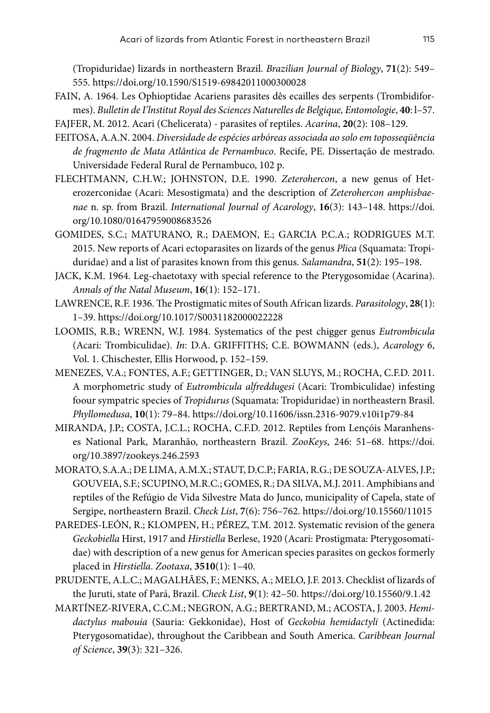(Tropiduridae) lizards in northeastern Brazil. *Brazilian Journal of Biology*, **71**(2): 549– 555.<https://doi.org/10.1590/S1519-69842011000300028>

- FAIN, A. 1964. Les Ophioptidae Acariens parasites dês ecailles des serpents (Trombidiformes). *Bulletin de I'lnstitut Royal des Sciences Naturelles de Belgique, Entomologie*, **40**: l–57.
- FAJFER, M. 2012. Acari (Chelicerata) parasites of reptiles. *Acarina*, **20**(2): 108–129.
- FEITOSA, A.A.N. 2004. *Diversidade de espécies arbóreas associada ao solo em toposseqüência de fragmento de Mata Atlântica de Pernambuco*. Recife, PE. Dissertação de mestrado. Universidade Federal Rural de Pernambuco, 102 p.
- FLECHTMANN, C.H.W.; JOHNSTON, D.E. 1990. *Zeterohercon*, a new genus of Heterozerconidae (Acari: Mesostigmata) and the description of *Zeterohercon amphisbaenae* n. sp. from Brazil. *International Journal of Acarology*, **16**(3): 143–148. [https://doi.](https://doi.org/10.1080/01647959008683526) [org/10.1080/01647959008683526](https://doi.org/10.1080/01647959008683526)
- GOMIDES, S.C.; MATURANO, R.; DAEMON, E.; GARCIA P.C.A.; RODRIGUES M.T. 2015. New reports of Acari ectoparasites on lizards of the genus *Plica* (Squamata: Tropiduridae) and a list of parasites known from this genus. *Salamandra*, **51**(2): 195–198.
- JACK, K.M. 1964. Leg-chaetotaxy with special reference to the Pterygosomidae (Acarina). *Annals of the Natal Museum*, **16**(1): 152–171.
- LAWRENCE, R.F. 1936. The Prostigmatic mites of South African lizards. *Parasitology*, **28**(1): 1–39. <https://doi.org/10.1017/S0031182000022228>
- LOOMIS, R.B.; WRENN, W.J. 1984. Systematics of the pest chigger genus *Eutrombicula* (Acari: Trombiculidae). *In*: D.A. GRIFFITHS; C.E. BOWMANN (eds.), *Acarology* 6, Vol. 1. Chischester, Ellis Horwood, p. 152–159.
- MENEZES, V.A.; FONTES, A.F.; GETTINGER, D.; VAN SLUYS, M.; ROCHA, C.F.D. 2011. A morphometric study of *Eutrombicula alfreddugesi* (Acari: Trombiculidae) infesting foour sympatric species of *Tropidurus* (Squamata: Tropiduridae) in northeastern Brasil. *Phyllomedusa*, **10**(1): 79–84. <https://doi.org/10.11606/issn.2316-9079.v10i1p79-84>
- MIRANDA, J.P.; COSTA, J.C.L.; ROCHA, C.F.D. 2012. Reptiles from Lençóis Maranhenses National Park, Maranhão, northeastern Brazil. *ZooKeys*, 246: 51–68. [https://doi.](https://doi.org/10.3897/zookeys.246.2593) [org/10.3897/zookeys.246.2593](https://doi.org/10.3897/zookeys.246.2593)
- MORATO, S.A.A.; DE LIMA, A.M.X.; STAUT, D.C.P.; FARIA, R.G.; DE SOUZA-ALVES, J.P.; GOUVEIA, S.F.; SCUPINO, M.R.C.; GOMES, R.; DA SILVA, M.J. 2011. Amphibians and reptiles of the Refúgio de Vida Silvestre Mata do Junco, municipality of Capela, state of Sergipe, northeastern Brazil. *Check List*, **7**(6): 756–762.<https://doi.org/10.15560/11015>
- PAREDES-LEÓN, R.; KLOMPEN, H.; PÉREZ, T.M. 2012. Systematic revision of the genera *Geckobiella* Hirst, 1917 and *Hirstiella* Berlese, 1920 (Acari: Prostigmata: Pterygosomatidae) with description of a new genus for American species parasites on geckos formerly placed in *Hirstiella*. *Zootaxa*, **3510**(1): 1–40.
- PRUDENTE, A.L.C.; MAGALHÃES, F.; MENKS, A.; MELO, J.F. 2013. Checklist of lizards of the Juruti, state of Pará, Brazil. *Check List*, **9**(1): 42–50. <https://doi.org/10.15560/9.1.42>
- MARTÍNEZ-RIVERA, C.C.M.; NEGRON, A.G.; BERTRAND, M.; ACOSTA, J. 2003. *Hemidactylus mabouia* (Sauria: Gekkonidae), Host of *Geckobia hemidactyli* (Actinedida: Pterygosomatidae), throughout the Caribbean and South America. *Caribbean Journal of Science*, **39**(3): 321–326.